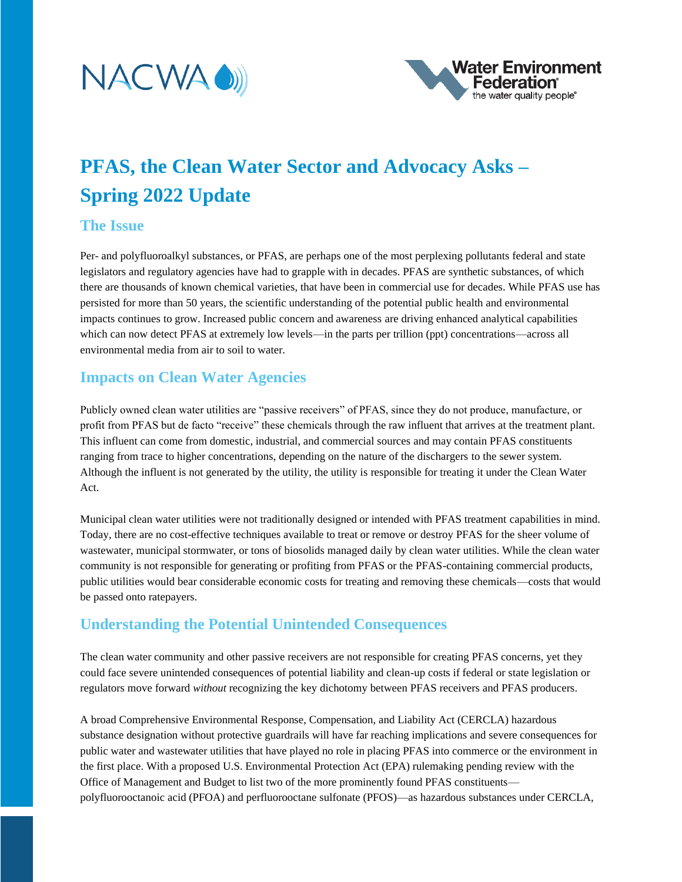



# **PFAS, the Clean Water Sector and Advocacy Asks – Spring 2022 Update**

## **The Issue**

Per- and polyfluoroalkyl substances, or PFAS, are perhaps one of the most perplexing pollutants federal and state legislators and regulatory agencies have had to grapple with in decades. PFAS are synthetic substances, of which there are thousands of known chemical varieties, that have been in commercial use for decades. While PFAS use has persisted for more than 50 years, the scientific understanding of the potential public health and environmental impacts continues to grow. Increased public concern and awareness are driving enhanced analytical capabilities which can now detect PFAS at extremely low levels—in the parts per trillion (ppt) concentrations—across all environmental media from air to soil to water.

# **Impacts on Clean Water Agencies**

Publicly owned clean water utilities are "passive receivers" of PFAS, since they do not produce, manufacture, or profit from PFAS but de facto "receive" these chemicals through the raw influent that arrives at the treatment plant. This influent can come from domestic, industrial, and commercial sources and may contain PFAS constituents ranging from trace to higher concentrations, depending on the nature of the dischargers to the sewer system. Although the influent is not generated by the utility, the utility is responsible for treating it under the Clean Water Act.

Municipal clean water utilities were not traditionally designed or intended with PFAS treatment capabilities in mind. Today, there are no cost-effective techniques available to treat or remove or destroy PFAS for the sheer volume of wastewater, municipal stormwater, or tons of biosolids managed daily by clean water utilities. While the clean water community is not responsible for generating or profiting from PFAS or the PFAS-containing commercial products, public utilities would bear considerable economic costs for treating and removing these chemicals—costs that would be passed onto ratepayers.

# **Understanding the Potential Unintended Consequences**

The clean water community and other passive receivers are not responsible for creating PFAS concerns, yet they could face severe unintended consequences of potential liability and clean-up costs if federal or state legislation or regulators move forward *without* recognizing the key dichotomy between PFAS receivers and PFAS producers.

A broad Comprehensive Environmental Response, Compensation, and Liability Act (CERCLA) hazardous substance designation without protective guardrails will have far reaching implications and severe consequences for public water and wastewater utilities that have played no role in placing PFAS into commerce or the environment in the first place. With a proposed U.S. Environmental Protection Act (EPA) rulemaking pending review with the Office of Management and Budget to list two of the more prominently found PFAS constituents polyfluorooctanoic acid (PFOA) and perfluorooctane sulfonate (PFOS)—as hazardous substances under CERCLA,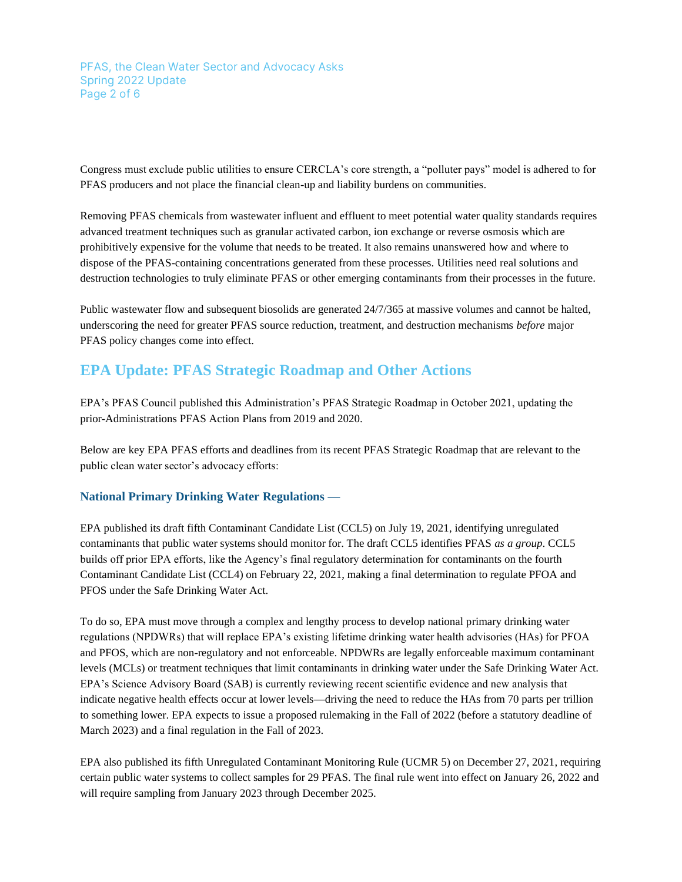PFAS, the Clean Water Sector and Advocacy Asks Spring 2022 Update Page 2 of 6

Congress must exclude public utilities to ensure CERCLA's core strength, a "polluter pays" model is adhered to for PFAS producers and not place the financial clean-up and liability burdens on communities.

Removing PFAS chemicals from wastewater influent and effluent to meet potential water quality standards requires advanced treatment techniques such as granular activated carbon, ion exchange or reverse osmosis which are prohibitively expensive for the volume that needs to be treated. It also remains unanswered how and where to dispose of the PFAS-containing concentrations generated from these processes. Utilities need real solutions and destruction technologies to truly eliminate PFAS or other emerging contaminants from their processes in the future.

Public wastewater flow and subsequent biosolids are generated 24/7/365 at massive volumes and cannot be halted, underscoring the need for greater PFAS source reduction, treatment, and destruction mechanisms *before* major PFAS policy changes come into effect.

# **EPA Update: PFAS Strategic Roadmap and Other Actions**

EPA's PFAS Council published this Administration's PFAS Strategic Roadmap in October 2021, updating the prior-Administrations PFAS Action Plans from 2019 and 2020.

Below are key EPA PFAS efforts and deadlines from its recent PFAS Strategic Roadmap that are relevant to the public clean water sector's advocacy efforts:

## **National Primary Drinking Water Regulations —**

EPA published its draft fifth Contaminant Candidate List (CCL5) on July 19, 2021, identifying unregulated contaminants that public water systems should monitor for. The draft CCL5 identifies PFAS *as a group*. CCL5 builds off prior EPA efforts, like the Agency's final regulatory determination for contaminants on the fourth Contaminant Candidate List (CCL4) on February 22, 2021, making a final determination to regulate PFOA and PFOS under the Safe Drinking Water Act.

To do so, EPA must move through a complex and lengthy process to develop national primary drinking water regulations (NPDWRs) that will replace EPA's existing lifetime drinking water health advisories (HAs) for PFOA and PFOS, which are non-regulatory and not enforceable. NPDWRs are legally enforceable maximum contaminant levels (MCLs) or treatment techniques that limit contaminants in drinking water under the Safe Drinking Water Act. EPA's Science Advisory Board (SAB) is currently reviewing recent scientific evidence and new analysis that indicate negative health effects occur at lower levels**—**driving the need to reduce the HAs from 70 parts per trillion to something lower. EPA expects to issue a proposed rulemaking in the Fall of 2022 (before a statutory deadline of March 2023) and a final regulation in the Fall of 2023.

EPA also published its fifth Unregulated Contaminant Monitoring Rule (UCMR 5) on December 27, 2021, requiring certain public water systems to collect samples for 29 PFAS. The final rule went into effect on January 26, 2022 and will require sampling from January 2023 through December 2025.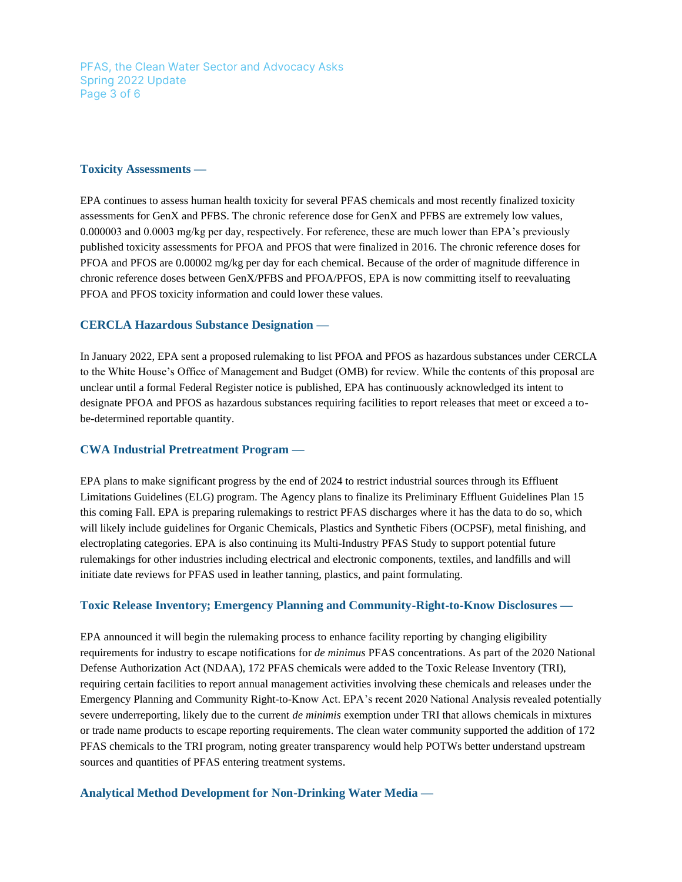PFAS, the Clean Water Sector and Advocacy Asks Spring 2022 Update Page 3 of 6

#### **Toxicity Assessments —**

EPA continues to assess human health toxicity for several PFAS chemicals and most recently finalized toxicity assessments for GenX and PFBS. The chronic reference dose for GenX and PFBS are extremely low values, 0.000003 and 0.0003 mg/kg per day, respectively. For reference, these are much lower than EPA's previously published toxicity assessments for PFOA and PFOS that were finalized in 2016. The chronic reference doses for PFOA and PFOS are 0.00002 mg/kg per day for each chemical. Because of the order of magnitude difference in chronic reference doses between GenX/PFBS and PFOA/PFOS, EPA is now committing itself to reevaluating PFOA and PFOS toxicity information and could lower these values.

### **CERCLA Hazardous Substance Designation —**

In January 2022, EPA sent a proposed rulemaking to list PFOA and PFOS as hazardous substances under CERCLA to the White House's Office of Management and Budget (OMB) for review. While the contents of this proposal are unclear until a formal Federal Register notice is published, EPA has continuously acknowledged its intent to designate PFOA and PFOS as hazardous substances requiring facilities to report releases that meet or exceed a tobe-determined reportable quantity.

#### **CWA Industrial Pretreatment Program —**

EPA plans to make significant progress by the end of 2024 to restrict industrial sources through its Effluent Limitations Guidelines (ELG) program. The Agency plans to finalize its Preliminary Effluent Guidelines Plan 15 this coming Fall. EPA is preparing rulemakings to restrict PFAS discharges where it has the data to do so, which will likely include guidelines for Organic Chemicals, Plastics and Synthetic Fibers (OCPSF), metal finishing, and electroplating categories. EPA is also continuing its Multi-Industry PFAS Study to support potential future rulemakings for other industries including electrical and electronic components, textiles, and landfills and will initiate date reviews for PFAS used in leather tanning, plastics, and paint formulating.

#### **Toxic Release Inventory; Emergency Planning and Community-Right-to-Know Disclosures —**

EPA announced it will begin the rulemaking process to enhance facility reporting by changing eligibility requirements for industry to escape notifications for *de minimus* PFAS concentrations. As part of the 2020 National Defense Authorization Act (NDAA), 172 PFAS chemicals were added to the Toxic Release Inventory (TRI), requiring certain facilities to report annual management activities involving these chemicals and releases under the Emergency Planning and Community Right-to-Know Act. EPA's recent 2020 National Analysis revealed potentially severe underreporting, likely due to the current *de minimis* exemption under TRI that allows chemicals in mixtures or trade name products to escape reporting requirements. The clean water community supported the addition of 172 PFAS chemicals to the TRI program, noting greater transparency would help POTWs better understand upstream sources and quantities of PFAS entering treatment systems.

#### **Analytical Method Development for Non-Drinking Water Media —**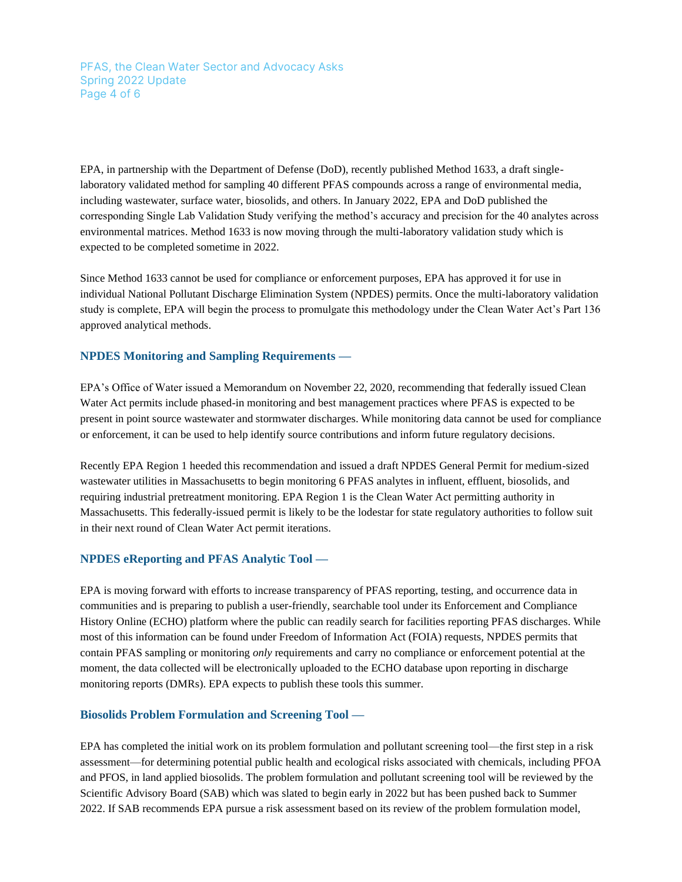PFAS, the Clean Water Sector and Advocacy Asks Spring 2022 Update Page 4 of 6

EPA, in partnership with the Department of Defense (DoD), recently published Method 1633, a draft singlelaboratory validated method for sampling 40 different PFAS compounds across a range of environmental media, including wastewater, surface water, biosolids, and others. In January 2022, EPA and DoD published the corresponding Single Lab Validation Study verifying the method's accuracy and precision for the 40 analytes across environmental matrices. Method 1633 is now moving through the multi-laboratory validation study which is expected to be completed sometime in 2022.

Since Method 1633 cannot be used for compliance or enforcement purposes, EPA has approved it for use in individual National Pollutant Discharge Elimination System (NPDES) permits. Once the multi-laboratory validation study is complete, EPA will begin the process to promulgate this methodology under the Clean Water Act's Part 136 approved analytical methods.

#### **NPDES Monitoring and Sampling Requirements —**

EPA's Office of Water issued a Memorandum on November 22, 2020, recommending that federally issued Clean Water Act permits include phased-in monitoring and best management practices where PFAS is expected to be present in point source wastewater and stormwater discharges. While monitoring data cannot be used for compliance or enforcement, it can be used to help identify source contributions and inform future regulatory decisions.

Recently EPA Region 1 heeded this recommendation and issued a draft NPDES General Permit for medium-sized wastewater utilities in Massachusetts to begin monitoring 6 PFAS analytes in influent, effluent, biosolids, and requiring industrial pretreatment monitoring. EPA Region 1 is the Clean Water Act permitting authority in Massachusetts. This federally-issued permit is likely to be the lodestar for state regulatory authorities to follow suit in their next round of Clean Water Act permit iterations.

#### **NPDES eReporting and PFAS Analytic Tool —**

EPA is moving forward with efforts to increase transparency of PFAS reporting, testing, and occurrence data in communities and is preparing to publish a user-friendly, searchable tool under its Enforcement and Compliance History Online (ECHO) platform where the public can readily search for facilities reporting PFAS discharges. While most of this information can be found under Freedom of Information Act (FOIA) requests, NPDES permits that contain PFAS sampling or monitoring *only* requirements and carry no compliance or enforcement potential at the moment, the data collected will be electronically uploaded to the ECHO database upon reporting in discharge monitoring reports (DMRs). EPA expects to publish these tools this summer.

#### **Biosolids Problem Formulation and Screening Tool —**

EPA has completed the initial work on its problem formulation and pollutant screening tool—the first step in a risk assessment—for determining potential public health and ecological risks associated with chemicals, including PFOA and PFOS, in land applied biosolids. The problem formulation and pollutant screening tool will be reviewed by the Scientific Advisory Board (SAB) which was slated to begin early in 2022 but has been pushed back to Summer 2022. If SAB recommends EPA pursue a risk assessment based on its review of the problem formulation model,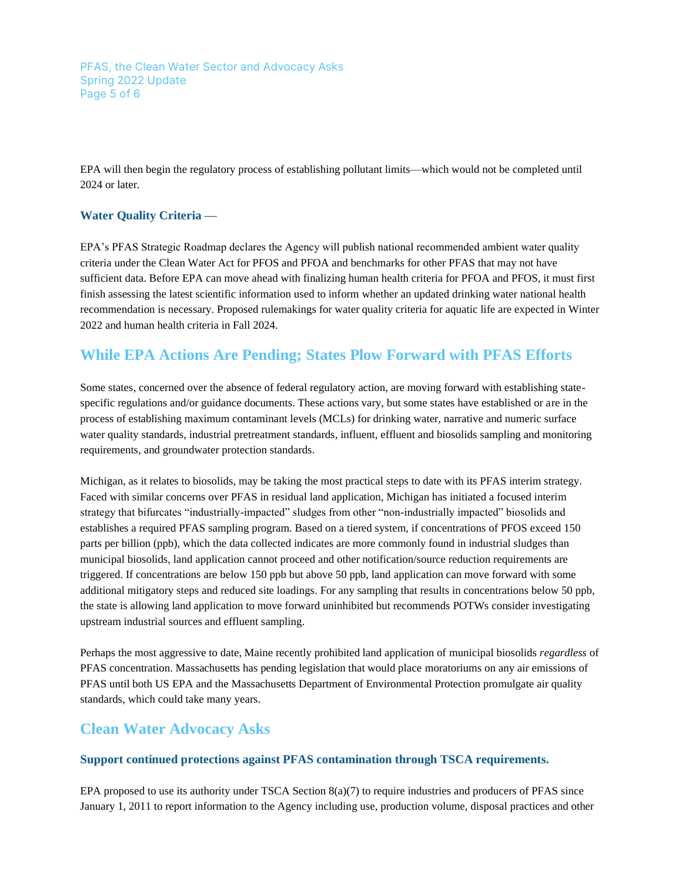PFAS, the Clean Water Sector and Advocacy Asks Spring 2022 Update Page 5 of 6

EPA will then begin the regulatory process of establishing pollutant limits—which would not be completed until 2024 or later.

## **Water Quality Criteria —**

EPA's PFAS Strategic Roadmap declares the Agency will publish national recommended ambient water quality criteria under the Clean Water Act for PFOS and PFOA and benchmarks for other PFAS that may not have sufficient data. Before EPA can move ahead with finalizing human health criteria for PFOA and PFOS, it must first finish assessing the latest scientific information used to inform whether an updated drinking water national health recommendation is necessary. Proposed rulemakings for water quality criteria for aquatic life are expected in Winter 2022 and human health criteria in Fall 2024.

# **While EPA Actions Are Pending; States Plow Forward with PFAS Efforts**

Some states, concerned over the absence of federal regulatory action, are moving forward with establishing statespecific regulations and/or guidance documents. These actions vary, but some states have established or are in the process of establishing maximum contaminant levels (MCLs) for drinking water, narrative and numeric surface water quality standards, industrial pretreatment standards, influent, effluent and biosolids sampling and monitoring requirements, and groundwater protection standards.

Michigan, as it relates to biosolids, may be taking the most practical steps to date with its PFAS interim strategy. Faced with similar concerns over PFAS in residual land application, Michigan has initiated a focused interim strategy that bifurcates "industrially-impacted" sludges from other "non-industrially impacted" biosolids and establishes a required PFAS sampling program. Based on a tiered system, if concentrations of PFOS exceed 150 parts per billion (ppb), which the data collected indicates are more commonly found in industrial sludges than municipal biosolids, land application cannot proceed and other notification/source reduction requirements are triggered. If concentrations are below 150 ppb but above 50 ppb, land application can move forward with some additional mitigatory steps and reduced site loadings. For any sampling that results in concentrations below 50 ppb, the state is allowing land application to move forward uninhibited but recommends POTWs consider investigating upstream industrial sources and effluent sampling.

Perhaps the most aggressive to date, Maine recently prohibited land application of municipal biosolids *regardless* of PFAS concentration. Massachusetts has pending legislation that would place moratoriums on any air emissions of PFAS until both US EPA and the Massachusetts Department of Environmental Protection promulgate air quality standards, which could take many years.

## **Clean Water Advocacy Asks**

## **Support continued protections against PFAS contamination through TSCA requirements.**

EPA proposed to use its authority under TSCA Section 8(a)(7) to require industries and producers of PFAS since January 1, 2011 to report information to the Agency including use, production volume, disposal practices and other